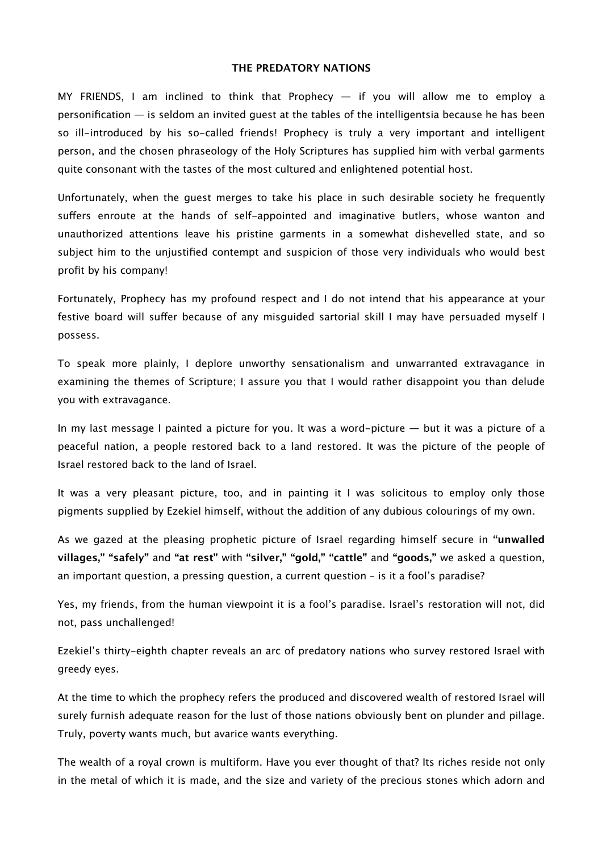## **THE PREDATORY NATIONS**

MY FRIENDS, I am inclined to think that Prophecy — if you will allow me to employ a personification — is seldom an invited guest at the tables of the intelligentsia because he has been so ill-introduced by his so-called friends! Prophecy is truly a very important and intelligent person, and the chosen phraseology of the Holy Scriptures has supplied him with verbal garments quite consonant with the tastes of the most cultured and enlightened potential host.

Unfortunately, when the guest merges to take his place in such desirable society he frequently sufers enroute at the hands of self-appointed and imaginative butlers, whose wanton and unauthorized attentions leave his pristine garments in a somewhat dishevelled state, and so subject him to the unjustified contempt and suspicion of those very individuals who would best profit by his company!

Fortunately, Prophecy has my profound respect and I do not intend that his appearance at your festive board will sufer because of any misguided sartorial skill I may have persuaded myself I possess.

To speak more plainly, I deplore unworthy sensationalism and unwarranted extravagance in examining the themes of Scripture; I assure you that I would rather disappoint you than delude you with extravagance.

In my last message I painted a picture for you. It was a word-picture — but it was a picture of a peaceful nation, a people restored back to a land restored. It was the picture of the people of Israel restored back to the land of Israel.

It was a very pleasant picture, too, and in painting it I was solicitous to employ only those pigments supplied by Ezekiel himself, without the addition of any dubious colourings of my own.

As we gazed at the pleasing prophetic picture of Israel regarding himself secure in **"unwalled villages," "safely"** and **"at rest"** with **"silver," "gold," "cattle"** and **"goods,"** we asked a question, an important question, a pressing question, a current question – is it a fool's paradise?

Yes, my friends, from the human viewpoint it is a fool's paradise. Israel's restoration will not, did not, pass unchallenged!

Ezekiel's thirty-eighth chapter reveals an arc of predatory nations who survey restored Israel with greedy eyes.

At the time to which the prophecy refers the produced and discovered wealth of restored Israel will surely furnish adequate reason for the lust of those nations obviously bent on plunder and pillage. Truly, poverty wants much, but avarice wants everything.

The wealth of a royal crown is multiform. Have you ever thought of that? Its riches reside not only in the metal of which it is made, and the size and variety of the precious stones which adorn and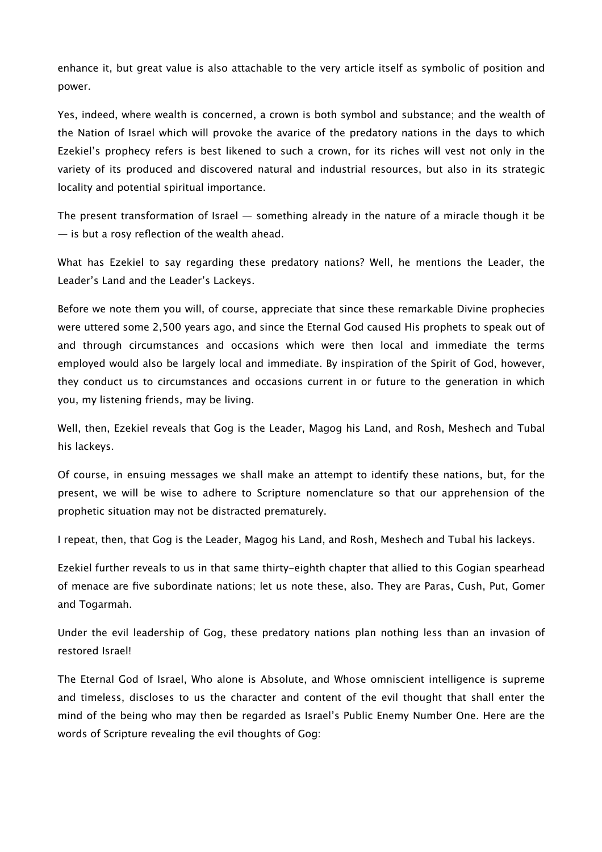enhance it, but great value is also attachable to the very article itself as symbolic of position and power.

Yes, indeed, where wealth is concerned, a crown is both symbol and substance; and the wealth of the Nation of Israel which will provoke the avarice of the predatory nations in the days to which Ezekiel's prophecy refers is best likened to such a crown, for its riches will vest not only in the variety of its produced and discovered natural and industrial resources, but also in its strategic locality and potential spiritual importance.

The present transformation of Israel — something already in the nature of a miracle though it be — is but a rosy reflection of the wealth ahead.

What has Ezekiel to say regarding these predatory nations? Well, he mentions the Leader, the Leader's Land and the Leader's Lackeys.

Before we note them you will, of course, appreciate that since these remarkable Divine prophecies were uttered some 2,500 years ago, and since the Eternal God caused His prophets to speak out of and through circumstances and occasions which were then local and immediate the terms employed would also be largely local and immediate. By inspiration of the Spirit of God, however, they conduct us to circumstances and occasions current in or future to the generation in which you, my listening friends, may be living.

Well, then, Ezekiel reveals that Gog is the Leader, Magog his Land, and Rosh, Meshech and Tubal his lackeys.

Of course, in ensuing messages we shall make an attempt to identify these nations, but, for the present, we will be wise to adhere to Scripture nomenclature so that our apprehension of the prophetic situation may not be distracted prematurely.

I repeat, then, that Gog is the Leader, Magog his Land, and Rosh, Meshech and Tubal his lackeys.

Ezekiel further reveals to us in that same thirty-eighth chapter that allied to this Gogian spearhead of menace are five subordinate nations; let us note these, also. They are Paras, Cush, Put, Gomer and Togarmah.

Under the evil leadership of Gog, these predatory nations plan nothing less than an invasion of restored Israel!

The Eternal God of Israel, Who alone is Absolute, and Whose omniscient intelligence is supreme and timeless, discloses to us the character and content of the evil thought that shall enter the mind of the being who may then be regarded as Israel's Public Enemy Number One. Here are the words of Scripture revealing the evil thoughts of Gog: